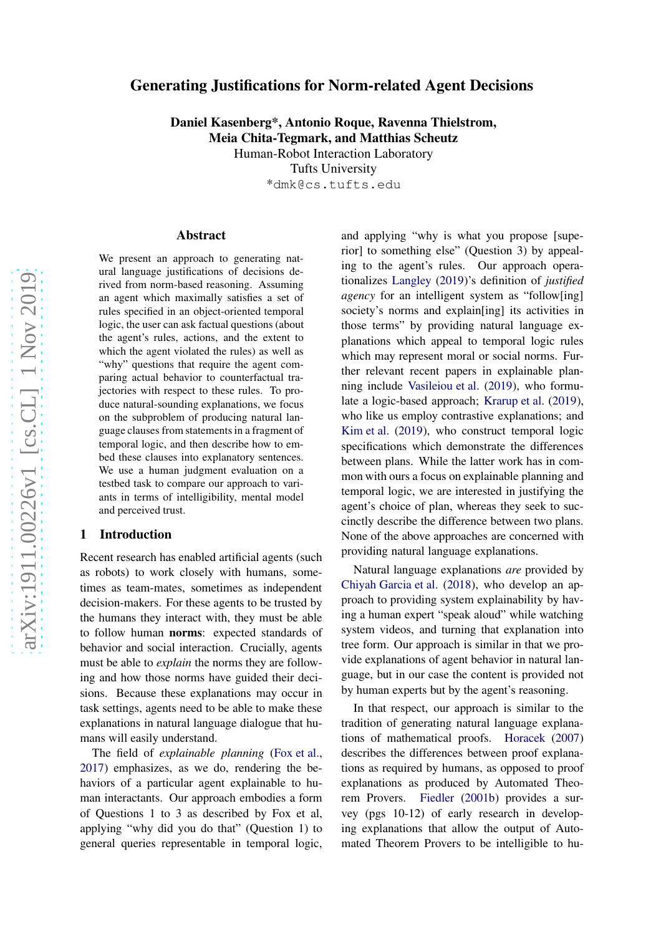# Generating Justifications for Norm-related Agent Decision s

Daniel Kasenberg\*, Antonio Roque, Ravenna Thielstrom, Meia Chita-Tegmark, and Matthias Scheutz

> Human-Robot Interaction Laboratory Tufts University

> > \*dmk@cs.tufts.edu

#### Abstract

We present an approach to generating natural language justifications of decisions derived from norm-based reasoning. Assuming an agent which maximally satisfies a set of rules specified in an object-oriented temporal logic, the user can ask factual questions (about the agent's rules, actions, and the extent to which the agent violated the rules) as well as "why" questions that require the agent comparing actual behavior to counterfactual trajectories with respect to these rules. To produce natural-sounding explanations, we focus on the subproblem of producing natural language clauses from statements in a fragment of temporal logic, and then describe how to embed these clauses into explanatory sentences. We use a human judgment evaluation on a testbed task to compare our approach to variants in terms of intelligibility, mental model and perceived trust.

#### 1 Introduction

Recent research has enabled artificial agents (such as robots) to work closely with humans, sometimes as team-mates, sometimes as independent decision-makers. For these agents to be trusted by the humans they interact with, they must be able to follow human norms: expected standards of behavior and social interaction. Crucially, agents must be able to *explain* the norms they are following and how those norms have guided their decisions. Because these explanations may occur in task settings, agents need to be able to make these explanations in natural language dialogue that humans will easily understand.

The field of *explainable planning* [\(Fox et al.](#page-9-0) , [2017\)](#page-9-0) emphasizes, as we do, rendering the behaviors of a particular agent explainable to human interactants. Our approach embodies a form of Questions 1 to 3 as described by Fox et al, applying "why did you do that" (Question 1) to general queries representable in temporal logic,

and applying "why is what you propose [superior] to something else" (Question 3) by appealing to the agent's rules. Our approach operationalizes [Langley](#page-9-1) [\(2019](#page-9-1))'s definition of *justified agency* for an intelligent system as "follow[ing] society's norms and explain[ing] its activities in those terms" by providing natural language explanations which appeal to temporal logic rules which may represent moral or social norms. Further relevant recent papers in explainable planning include [Vasileiou et al.](#page-9-2) [\(2019](#page-9-2)), who formulate a logic-based approach; [Krarup et al.](#page-9-3) [\(2019](#page-9-3)), who like us employ contrastive explanations; and [Kim et al.](#page-9-4) [\(2019](#page-9-4)), who construct temporal logic specifications which demonstrate the differences between plans. While the latter work has in common with ours a focus on explainable planning and temporal logic, we are interested in justifying the agent's choice of plan, whereas they seek to succinctly describe the difference between two plans. None of the above approaches are concerned with providing natural language explanations.

Natural language explanations *are* provided by [Chiyah Garcia et al.](#page-9-5) [\(2018](#page-9-5)), who develop an approach to providing system explainability by having a human expert "speak aloud" while watching system videos, and turning that explanation into tree form. Our approach is similar in that we provide explanations of agent behavior in natural language, but in our case the content is provided not by human experts but by the agent's reasoning.

In that respect, our approach is similar to the tradition of generating natural language explanations of mathematical proofs. [Horacek](#page-9-6) [\(2007\)](#page-9-6) describes the differences between proof explanations as required by humans, as opposed to proof explanations as produced by Automated Theorem Provers. [Fiedler](#page-9-7) [\(2001b](#page-9-7)) provides a survey (pgs 10-12) of early research in developing explanations that allow the output of Automated Theorem Provers to be intelligible to hu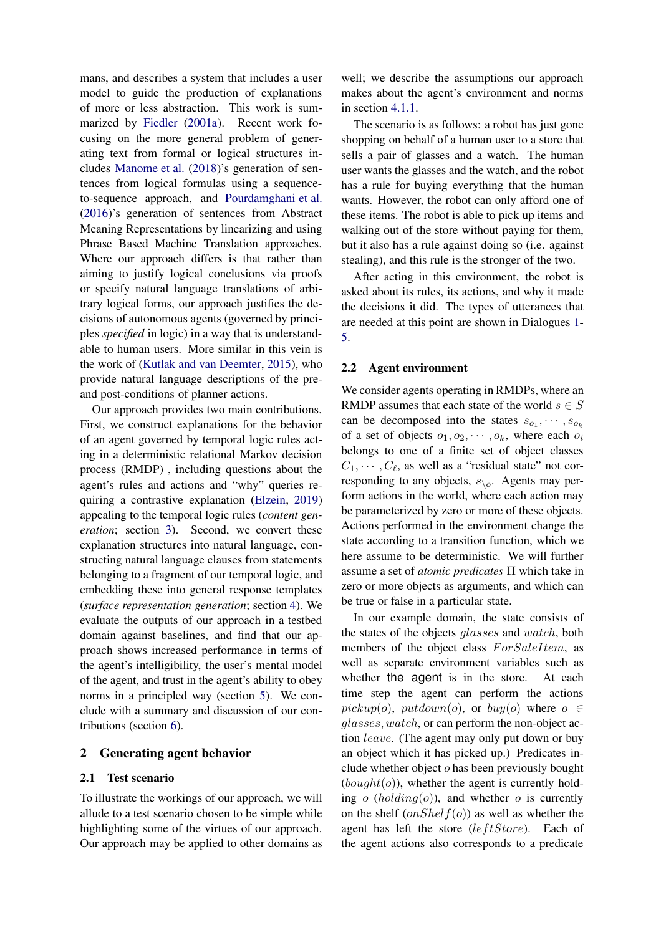mans, and describes a system that includes a user model to guide the production of explanations of more or less abstraction. This work is summarized by [Fiedler](#page-9-8) [\(2001a](#page-9-8)). Recent work focusing on the more general problem of generating text from formal or logical structures includes [Manome et al.](#page-9-9) [\(2018](#page-9-9))'s generation of sentences from logical formulas using a sequenceto-sequence approach, and [Pourdamghani et al.](#page-9-10) [\(2016](#page-9-10))'s generation of sentences from Abstract Meaning Representations by linearizing and using Phrase Based Machine Translation approaches. Where our approach differs is that rather than aiming to justify logical conclusions via proofs or specify natural language translations of arbitrary logical forms, our approach justifies the decisions of autonomous agents (governed by principles *specified* in logic) in a way that is understandable to human users. More similar in this vein is the work of [\(Kutlak and van Deemter](#page-9-11), [2015](#page-9-11)), who provide natural language descriptions of the preand post-conditions of planner actions.

Our approach provides two main contributions. First, we construct explanations for the behavior of an agent governed by temporal logic rules acting in a deterministic relational Markov decision process (RMDP) , including questions about the agent's rules and actions and "why" queries requiring a contrastive explanation [\(Elzein](#page-9-12), [2019](#page-9-12)) appealing to the temporal logic rules (*content generation*; section [3\)](#page-2-0). Second, we convert these explanation structures into natural language, constructing natural language clauses from statements belonging to a fragment of our temporal logic, and embedding these into general response templates (*surface representation generation*; section [4\)](#page-3-0). We evaluate the outputs of our approach in a testbed domain against baselines, and find that our approach shows increased performance in terms of the agent's intelligibility, the user's mental model of the agent, and trust in the agent's ability to obey norms in a principled way (section [5\)](#page-6-0). We conclude with a summary and discussion of our contributions (section [6\)](#page-8-0).

#### <span id="page-1-0"></span>2 Generating agent behavior

#### 2.1 Test scenario

To illustrate the workings of our approach, we will allude to a test scenario chosen to be simple while highlighting some of the virtues of our approach. Our approach may be applied to other domains as well; we describe the assumptions our approach makes about the agent's environment and norms in section [4.1.1.](#page-4-0)

The scenario is as follows: a robot has just gone shopping on behalf of a human user to a store that sells a pair of glasses and a watch. The human user wants the glasses and the watch, and the robot has a rule for buying everything that the human wants. However, the robot can only afford one of these items. The robot is able to pick up items and walking out of the store without paying for them, but it also has a rule against doing so (i.e. against stealing), and this rule is the stronger of the two.

After acting in this environment, the robot is asked about its rules, its actions, and why it made the decisions it did. The types of utterances that are needed at this point are shown in Dialogues [1-](#page-2-1) [5.](#page-4-1)

#### 2.2 Agent environment

We consider agents operating in RMDPs, where an RMDP assumes that each state of the world  $s \in S$ can be decomposed into the states  $s_{o_1}, \cdots, s_{o_k}$ of a set of objects  $o_1, o_2, \cdots, o_k$ , where each  $o_i$ belongs to one of a finite set of object classes  $C_1, \cdots, C_{\ell}$ , as well as a "residual state" not corresponding to any objects,  $s_{\setminus o}$ . Agents may perform actions in the world, where each action may be parameterized by zero or more of these objects. Actions performed in the environment change the state according to a transition function, which we here assume to be deterministic. We will further assume a set of *atomic predicates* Π which take in zero or more objects as arguments, and which can be true or false in a particular state.

In our example domain, the state consists of the states of the objects *glasses* and *watch*, both members of the object class ForSaleItem, as well as separate environment variables such as whether the agent is in the store. At each time step the agent can perform the actions pickup(o), putdown(o), or buy(o) where  $o \in$ glasses, watch, or can perform the non-object action leave. (The agent may only put down or buy an object which it has picked up.) Predicates include whether object o has been previously bought  $(bought(o))$ , whether the agent is currently holding  $o$  (holding( $o$ )), and whether  $o$  is currently on the shelf  $(onShellf(o))$  as well as whether the agent has left the store  $(leftStore)$ . Each of the agent actions also corresponds to a predicate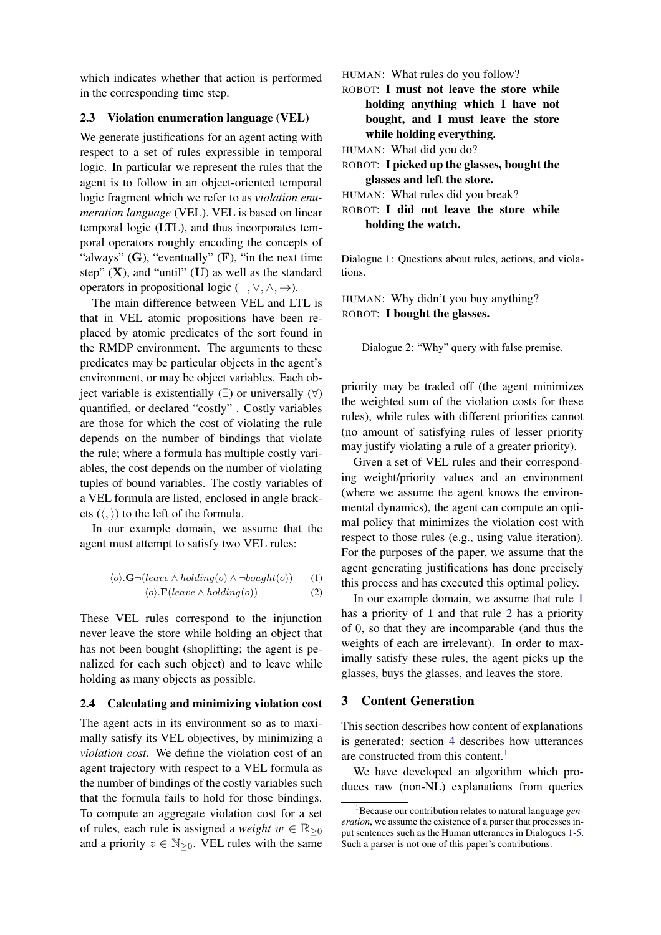which indicates whether that action is performed in the corresponding time step.

#### 2.3 Violation enumeration language (VEL)

We generate justifications for an agent acting with respect to a set of rules expressible in temporal logic. In particular we represent the rules that the agent is to follow in an object-oriented temporal logic fragment which we refer to as *violation enumeration language* (VEL). VEL is based on linear temporal logic (LTL), and thus incorporates temporal operators roughly encoding the concepts of "always"  $(G)$ , "eventually"  $(F)$ , "in the next time" step"  $(X)$ , and "until"  $(U)$  as well as the standard operators in propositional logic  $(\neg, \vee, \wedge, \rightarrow)$ .

The main difference between VEL and LTL is that in VEL atomic propositions have been replaced by atomic predicates of the sort found in the RMDP environment. The arguments to these predicates may be particular objects in the agent's environment, or may be object variables. Each object variable is existentially  $(∃)$  or universally  $(∀)$ quantified, or declared "costly" . Costly variables are those for which the cost of violating the rule depends on the number of bindings that violate the rule; where a formula has multiple costly variables, the cost depends on the number of violating tuples of bound variables. The costly variables of a VEL formula are listed, enclosed in angle brackets  $(\langle, \rangle)$  to the left of the formula.

In our example domain, we assume that the agent must attempt to satisfy two VEL rules:

$$
\langle o \rangle \cdot \mathbf{G} \neg (leave \land holding(o) \land \neg bought(o)) \qquad (1)
$$
  

$$
\langle o \rangle \cdot \mathbf{F}(leave \land holding(o)) \qquad (2)
$$

$$
V = \frac{1}{2}
$$

These VEL rules correspond to the injunction never leave the store while holding an object that has not been bought (shoplifting; the agent is penalized for each such object) and to leave while holding as many objects as possible.

#### 2.4 Calculating and minimizing violation cost

The agent acts in its environment so as to maximally satisfy its VEL objectives, by minimizing a *violation cost*. We define the violation cost of an agent trajectory with respect to a VEL formula as the number of bindings of the costly variables such that the formula fails to hold for those bindings. To compute an aggregate violation cost for a set of rules, each rule is assigned a *weight*  $w \in \mathbb{R}_{\geq 0}$ and a priority  $z \in \mathbb{N}_{\geq 0}$ . VEL rules with the same

<span id="page-2-1"></span>HUMAN: What rules do you follow?

ROBOT: I must not leave the store while holding anything which I have not bought, and I must leave the store while holding everything.

HUMAN: What did you do?

ROBOT: I picked up the glasses, bought the glasses and left the store.

HUMAN: What rules did you break?

ROBOT: I did not leave the store while holding the watch.

Dialogue 1: Questions about rules, actions, and violations.

<span id="page-2-5"></span>HUMAN: Why didn't you buy anything? ROBOT: I bought the glasses.

Dialogue 2: "Why" query with false premise.

priority may be traded off (the agent minimizes the weighted sum of the violation costs for these rules), while rules with different priorities cannot (no amount of satisfying rules of lesser priority may justify violating a rule of a greater priority).

Given a set of VEL rules and their corresponding weight/priority values and an environment (where we assume the agent knows the environmental dynamics), the agent can compute an optimal policy that minimizes the violation cost with respect to those rules (e.g., using value iteration). For the purposes of the paper, we assume that the agent generating justifications has done precisely this process and has executed this optimal policy.

<span id="page-2-3"></span><span id="page-2-2"></span>In our example domain, we assume that rule [1](#page-2-2) has a priority of 1 and that rule [2](#page-2-3) has a priority of 0, so that they are incomparable (and thus the weights of each are irrelevant). In order to maximally satisfy these rules, the agent picks up the glasses, buys the glasses, and leaves the store.

#### <span id="page-2-0"></span>3 Content Generation

This section describes how content of explanations is generated; section [4](#page-3-0) describes how utterances are constructed from this content.<sup>[1](#page-2-4)</sup>

We have developed an algorithm which produces raw (non-NL) explanations from queries

<span id="page-2-4"></span><sup>1</sup>Because our contribution relates to natural language *generation*, we assume the existence of a parser that processes input sentences such as the Human utterances in Dialogues [1-](#page-2-1)[5.](#page-4-1) Such a parser is not one of this paper's contributions.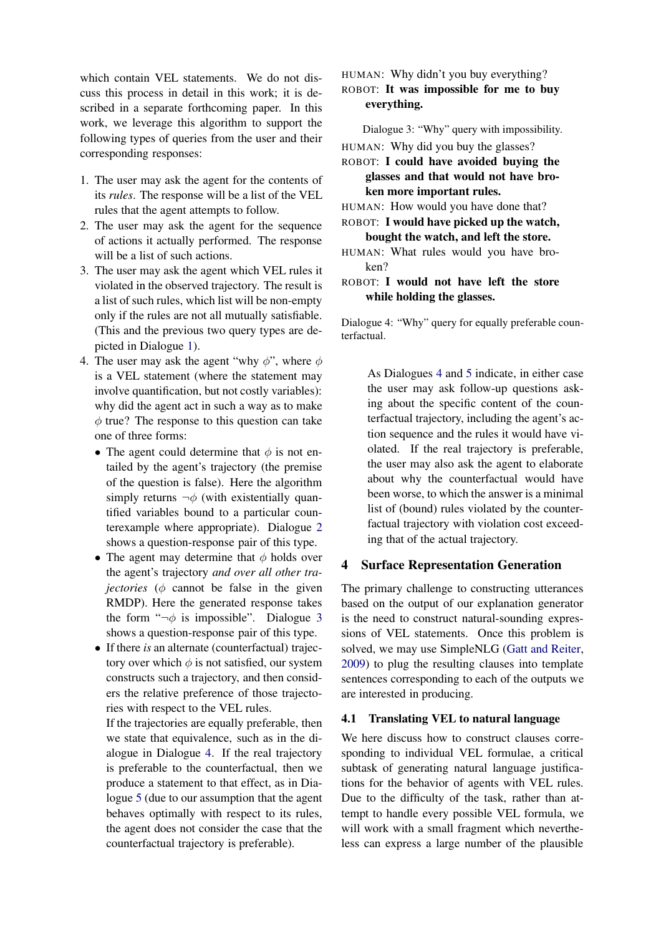which contain VEL statements. We do not discuss this process in detail in this work; it is described in a separate forthcoming paper. In this work, we leverage this algorithm to support the following types of queries from the user and their corresponding responses:

- 1. The user may ask the agent for the contents of its *rules*. The response will be a list of the VEL rules that the agent attempts to follow.
- 2. The user may ask the agent for the sequence of actions it actually performed. The response will be a list of such actions.
- 3. The user may ask the agent which VEL rules it violated in the observed trajectory. The result is a list of such rules, which list will be non-empty only if the rules are not all mutually satisfiable. (This and the previous two query types are depicted in Dialogue [1\)](#page-2-1).
- 4. The user may ask the agent "why  $\phi$ ", where  $\phi$ is a VEL statement (where the statement may involve quantification, but not costly variables): why did the agent act in such a way as to make  $\phi$  true? The response to this question can take one of three forms:
	- The agent could determine that  $\phi$  is not entailed by the agent's trajectory (the premise of the question is false). Here the algorithm simply returns  $\neg \phi$  (with existentially quantified variables bound to a particular counterexample where appropriate). Dialogue [2](#page-2-5) shows a question-response pair of this type.
	- The agent may determine that  $\phi$  holds over the agent's trajectory *and over all other tra* $jectors$  ( $\phi$  cannot be false in the given RMDP). Here the generated response takes the form " $\neg \phi$  is impossible". Dialogue [3](#page-3-1) shows a question-response pair of this type.
	- If there *is* an alternate (counterfactual) trajectory over which  $\phi$  is not satisfied, our system constructs such a trajectory, and then considers the relative preference of those trajectories with respect to the VEL rules.

If the trajectories are equally preferable, then we state that equivalence, such as in the dialogue in Dialogue [4.](#page-3-1) If the real trajectory is preferable to the counterfactual, then we produce a statement to that effect, as in Dialogue [5](#page-4-1) (due to our assumption that the agent behaves optimally with respect to its rules, the agent does not consider the case that the counterfactual trajectory is preferable).

<span id="page-3-1"></span>HUMAN: Why didn't you buy everything? ROBOT: It was impossible for me to buy everything.

Dialogue 3: "Why" query with impossibility.

HUMAN: Why did you buy the glasses?

## ROBOT: I could have avoided buying the glasses and that would not have broken more important rules.

HUMAN: How would you have done that?

ROBOT: I would have picked up the watch, bought the watch, and left the store.

- HUMAN: What rules would you have broken?
- ROBOT: I would not have left the store while holding the glasses.

Dialogue 4: "Why" query for equally preferable counterfactual.

> As Dialogues [4](#page-3-1) and [5](#page-4-1) indicate, in either case the user may ask follow-up questions asking about the specific content of the counterfactual trajectory, including the agent's action sequence and the rules it would have violated. If the real trajectory is preferable, the user may also ask the agent to elaborate about why the counterfactual would have been worse, to which the answer is a minimal list of (bound) rules violated by the counterfactual trajectory with violation cost exceeding that of the actual trajectory.

## <span id="page-3-0"></span>4 Surface Representation Generation

The primary challenge to constructing utterances based on the output of our explanation generator is the need to construct natural-sounding expressions of VEL statements. Once this problem is solved, we may use SimpleNLG [\(Gatt and Reiter,](#page-9-13) [2009](#page-9-13)) to plug the resulting clauses into template sentences corresponding to each of the outputs we are interested in producing.

## 4.1 Translating VEL to natural language

We here discuss how to construct clauses corresponding to individual VEL formulae, a critical subtask of generating natural language justifications for the behavior of agents with VEL rules. Due to the difficulty of the task, rather than attempt to handle every possible VEL formula, we will work with a small fragment which nevertheless can express a large number of the plausible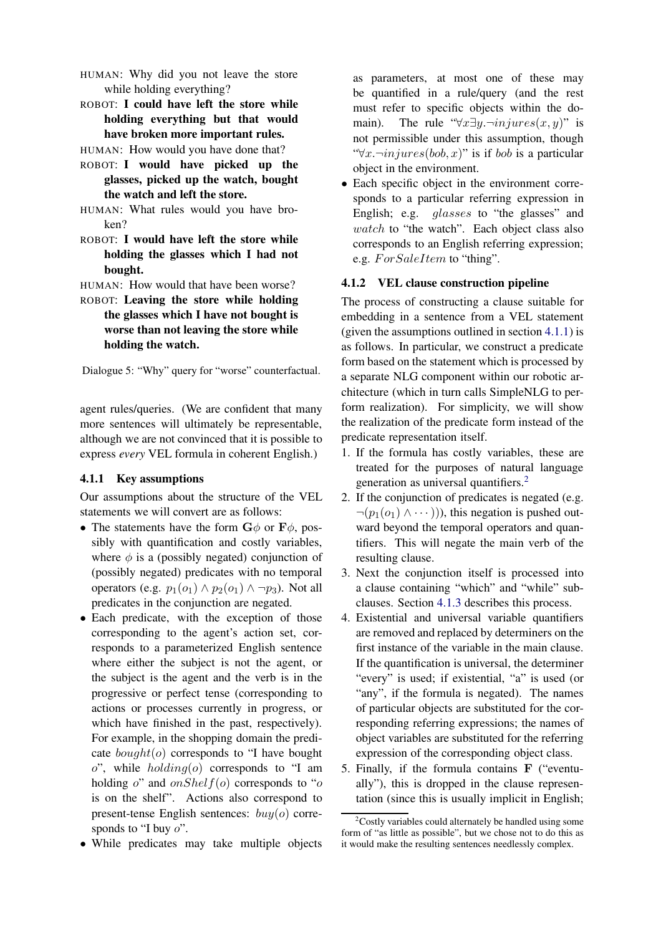- <span id="page-4-1"></span>HUMAN: Why did you not leave the store while holding everything?
- ROBOT: I could have left the store while holding everything but that would have broken more important rules.
- HUMAN: How would you have done that?
- ROBOT: I would have picked up the glasses, picked up the watch, bought the watch and left the store.
- HUMAN: What rules would you have broken?
- ROBOT: I would have left the store while holding the glasses which I had not bought.
- HUMAN: How would that have been worse?
- ROBOT: Leaving the store while holding the glasses which I have not bought is worse than not leaving the store while holding the watch.

Dialogue 5: "Why" query for "worse" counterfactual.

agent rules/queries. (We are confident that many more sentences will ultimately be representable, although we are not convinced that it is possible to express *every* VEL formula in coherent English.)

#### <span id="page-4-0"></span>4.1.1 Key assumptions

Our assumptions about the structure of the VEL statements we will convert are as follows:

- The statements have the form  $G\phi$  or  $F\phi$ , possibly with quantification and costly variables, where  $\phi$  is a (possibly negated) conjunction of (possibly negated) predicates with no temporal operators (e.g.  $p_1(o_1) \wedge p_2(o_1) \wedge \neg p_3$ ). Not all predicates in the conjunction are negated.
- Each predicate, with the exception of those corresponding to the agent's action set, corresponds to a parameterized English sentence where either the subject is not the agent, or the subject is the agent and the verb is in the progressive or perfect tense (corresponding to actions or processes currently in progress, or which have finished in the past, respectively). For example, in the shopping domain the predicate  $bound(o)$  corresponds to "I have bought  $o$ ", while  $holding(o)$  corresponds to "I am holding  $o$ " and  $onShellf(o)$  corresponds to "o is on the shelf". Actions also correspond to present-tense English sentences:  $buy(o)$  corresponds to "I buy  $o$ ".
- While predicates may take multiple objects

as parameters, at most one of these may be quantified in a rule/query (and the rest must refer to specific objects within the domain). The rule " $\forall x \exists y \neg injures(x, y)$ " is not permissible under this assumption, though " $\forall x \neg injures(bob, x)$ " is if bob is a particular object in the environment.

• Each specific object in the environment corresponds to a particular referring expression in English; e.g. *glasses* to "the glasses" and watch to "the watch". Each object class also corresponds to an English referring expression; e.g.  $For SaleItem$  to "thing".

#### 4.1.2 VEL clause construction pipeline

The process of constructing a clause suitable for embedding in a sentence from a VEL statement (given the assumptions outlined in section [4.1.1\)](#page-4-0) is as follows. In particular, we construct a predicate form based on the statement which is processed by a separate NLG component within our robotic architecture (which in turn calls SimpleNLG to perform realization). For simplicity, we will show the realization of the predicate form instead of the predicate representation itself.

- 1. If the formula has costly variables, these are treated for the purposes of natural language generation as universal quantifiers.<sup>[2](#page-4-2)</sup>
- 2. If the conjunction of predicates is negated (e.g.  $\neg(p_1(o_1) \land \cdots)$ ), this negation is pushed outward beyond the temporal operators and quantifiers. This will negate the main verb of the resulting clause.
- 3. Next the conjunction itself is processed into a clause containing "which" and "while" subclauses. Section [4.1.3](#page-5-0) describes this process.
- 4. Existential and universal variable quantifiers are removed and replaced by determiners on the first instance of the variable in the main clause. If the quantification is universal, the determiner "every" is used; if existential, "a" is used (or "any", if the formula is negated). The names of particular objects are substituted for the corresponding referring expressions; the names of object variables are substituted for the referring expression of the corresponding object class.
- 5. Finally, if the formula contains F ("eventually"), this is dropped in the clause representation (since this is usually implicit in English;

<span id="page-4-2"></span> $2$ Costly variables could alternately be handled using some form of "as little as possible", but we chose not to do this as it would make the resulting sentences needlessly complex.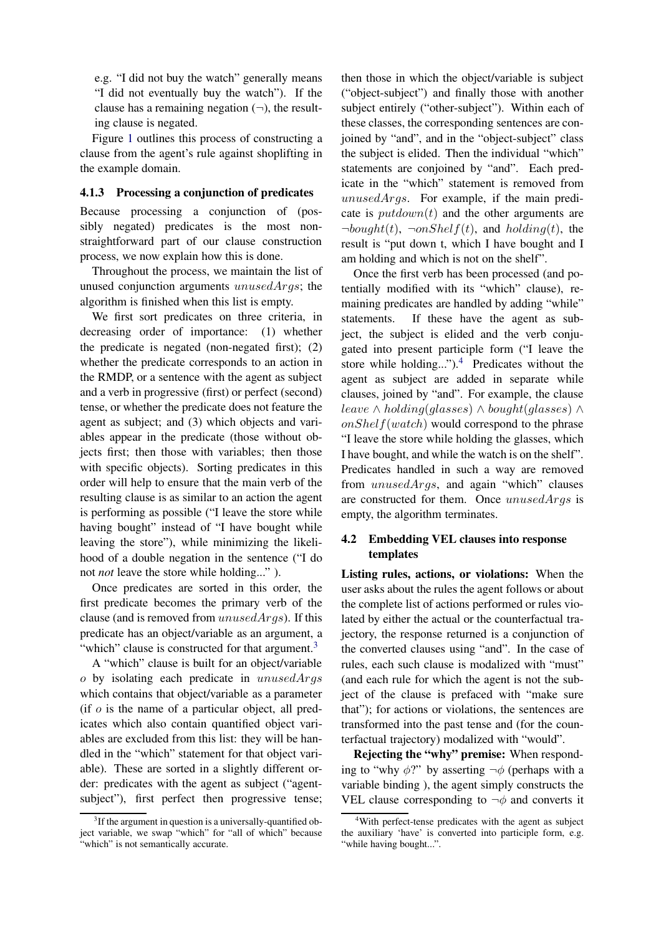e.g. "I did not buy the watch" generally means "I did not eventually buy the watch"). If the clause has a remaining negation  $(\neg)$ , the resulting clause is negated.

Figure [1](#page-6-1) outlines this process of constructing a clause from the agent's rule against shoplifting in the example domain.

#### <span id="page-5-0"></span>4.1.3 Processing a conjunction of predicates

Because processing a conjunction of (possibly negated) predicates is the most nonstraightforward part of our clause construction process, we now explain how this is done.

Throughout the process, we maintain the list of unused conjunction arguments unusedArgs; the algorithm is finished when this list is empty.

We first sort predicates on three criteria, in decreasing order of importance: (1) whether the predicate is negated (non-negated first); (2) whether the predicate corresponds to an action in the RMDP, or a sentence with the agent as subject and a verb in progressive (first) or perfect (second) tense, or whether the predicate does not feature the agent as subject; and (3) which objects and variables appear in the predicate (those without objects first; then those with variables; then those with specific objects). Sorting predicates in this order will help to ensure that the main verb of the resulting clause is as similar to an action the agent is performing as possible ("I leave the store while having bought" instead of "I have bought while leaving the store"), while minimizing the likelihood of a double negation in the sentence ("I do not *not* leave the store while holding..." ).

Once predicates are sorted in this order, the first predicate becomes the primary verb of the clause (and is removed from  $unusedArgs$ ). If this predicate has an object/variable as an argument, a "which" clause is constructed for that argument.<sup>[3](#page-5-1)</sup>

A "which" clause is built for an object/variable  $\sigma$  by isolating each predicate in unusedArgs which contains that object/variable as a parameter (if  $o$  is the name of a particular object, all predicates which also contain quantified object variables are excluded from this list: they will be handled in the "which" statement for that object variable). These are sorted in a slightly different order: predicates with the agent as subject ("agentsubject"), first perfect then progressive tense;

then those in which the object/variable is subject ("object-subject") and finally those with another subject entirely ("other-subject"). Within each of these classes, the corresponding sentences are conjoined by "and", and in the "object-subject" class the subject is elided. Then the individual "which" statements are conjoined by "and". Each predicate in the "which" statement is removed from  $unusedArgs.$  For example, if the main predicate is  $putdown(t)$  and the other arguments are  $\neg bound(t)$ ,  $\neg onShellf(t)$ , and  $holding(t)$ , the result is "put down t, which I have bought and I am holding and which is not on the shelf".

Once the first verb has been processed (and potentially modified with its "which" clause), remaining predicates are handled by adding "while" statements. If these have the agent as subject, the subject is elided and the verb conjugated into present participle form ("I leave the store while holding...").<sup>[4](#page-5-2)</sup> Predicates without the agent as subject are added in separate while clauses, joined by "and". For example, the clause *leave*  $\land$  *holding*(*glasses*)  $\land$  *bought*(*glasses*)  $\land$  $onShellf(watch)$  would correspond to the phrase "I leave the store while holding the glasses, which I have bought, and while the watch is on the shelf". Predicates handled in such a way are removed from *unusedArgs*, and again "which" clauses are constructed for them. Once *unusedArgs* is empty, the algorithm terminates.

## 4.2 Embedding VEL clauses into response templates

Listing rules, actions, or violations: When the user asks about the rules the agent follows or about the complete list of actions performed or rules violated by either the actual or the counterfactual trajectory, the response returned is a conjunction of the converted clauses using "and". In the case of rules, each such clause is modalized with "must" (and each rule for which the agent is not the subject of the clause is prefaced with "make sure that"); for actions or violations, the sentences are transformed into the past tense and (for the counterfactual trajectory) modalized with "would".

Rejecting the "why" premise: When responding to "why  $\phi$ ?" by asserting  $\neg \phi$  (perhaps with a variable binding ), the agent simply constructs the VEL clause corresponding to  $\neg \phi$  and converts it

<span id="page-5-1"></span> $3$ If the argument in question is a universally-quantified object variable, we swap "which" for "all of which" because "which" is not semantically accurate.

<span id="page-5-2"></span><sup>&</sup>lt;sup>4</sup>With perfect-tense predicates with the agent as subject the auxiliary 'have' is converted into participle form, e.g. "while having bought...".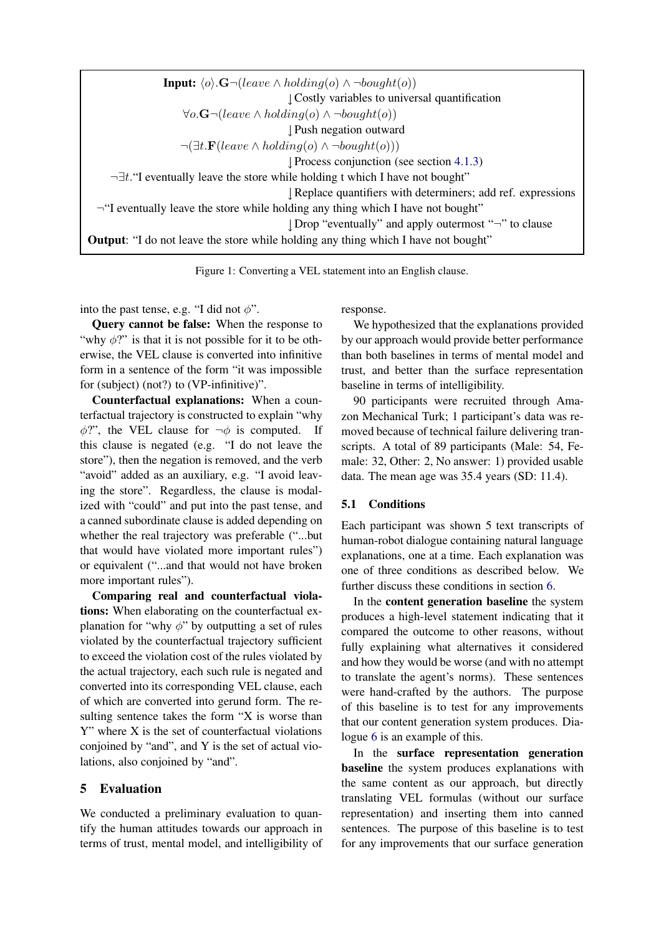<span id="page-6-1"></span>

| <b>Input:</b> $\langle o \rangle \cdot \mathbf{G} \neg (leave \wedge holding(o) \wedge \neg bought(o))$ |
|---------------------------------------------------------------------------------------------------------|
| Costly variables to universal quantification                                                            |
| $\forall o.\mathbf{G} \neg (leave \wedge holding(o) \wedge \neg bought(o))$                             |
| Push negation outward                                                                                   |
| $\neg(\exists t.\mathbf{F}(leave \wedge holding(o) \wedge \neg bought(o)))$                             |
| $\downarrow$ Process conjunction (see section 4.1.3)                                                    |
| $\neg \exists t$ . T eventually leave the store while holding t which I have not bought"                |
| Replace quantifiers with determiners; add ref. expressions                                              |
| $\neg$ "I eventually leave the store while holding any thing which I have not bought"                   |
| ↓ Drop "eventually" and apply outermost "¬" to clause                                                   |
| <b>Output:</b> "I do not leave the store while holding any thing which I have not bought"               |

Figure 1: Converting a VEL statement into an English clause.

into the past tense, e.g. "I did not  $\phi$ ".

Query cannot be false: When the response to "why  $\phi$ ?" is that it is not possible for it to be otherwise, the VEL clause is converted into infinitive form in a sentence of the form "it was impossible for (subject) (not?) to (VP-infinitive)".

Counterfactual explanations: When a counterfactual trajectory is constructed to explain "why  $\phi$ ?", the VEL clause for  $\neg \phi$  is computed. If this clause is negated (e.g. "I do not leave the store"), then the negation is removed, and the verb "avoid" added as an auxiliary, e.g. "I avoid leaving the store". Regardless, the clause is modalized with "could" and put into the past tense, and a canned subordinate clause is added depending on whether the real trajectory was preferable ("...but that would have violated more important rules") or equivalent ("...and that would not have broken more important rules").

Comparing real and counterfactual violations: When elaborating on the counterfactual explanation for "why  $\phi$ " by outputting a set of rules violated by the counterfactual trajectory sufficient to exceed the violation cost of the rules violated by the actual trajectory, each such rule is negated and converted into its corresponding VEL clause, each of which are converted into gerund form. The resulting sentence takes the form "X is worse than Y" where X is the set of counterfactual violations conjoined by "and", and Y is the set of actual violations, also conjoined by "and".

## <span id="page-6-0"></span>5 Evaluation

We conducted a preliminary evaluation to quantify the human attitudes towards our approach in terms of trust, mental model, and intelligibility of response.

We hypothesized that the explanations provided by our approach would provide better performance than both baselines in terms of mental model and trust, and better than the surface representation baseline in terms of intelligibility.

90 participants were recruited through Amazon Mechanical Turk; 1 participant's data was removed because of technical failure delivering transcripts. A total of 89 participants (Male: 54, Female: 32, Other: 2, No answer: 1) provided usable data. The mean age was 35.4 years (SD: 11.4).

## 5.1 Conditions

Each participant was shown 5 text transcripts of human-robot dialogue containing natural language explanations, one at a time. Each explanation was one of three conditions as described below. We further discuss these conditions in section [6.](#page-8-0)

In the content generation baseline the system produces a high-level statement indicating that it compared the outcome to other reasons, without fully explaining what alternatives it considered and how they would be worse (and with no attempt to translate the agent's norms). These sentences were hand-crafted by the authors. The purpose of this baseline is to test for any improvements that our content generation system produces. Dialogue [6](#page-7-0) is an example of this.

In the surface representation generation baseline the system produces explanations with the same content as our approach, but directly translating VEL formulas (without our surface representation) and inserting them into canned sentences. The purpose of this baseline is to test for any improvements that our surface generation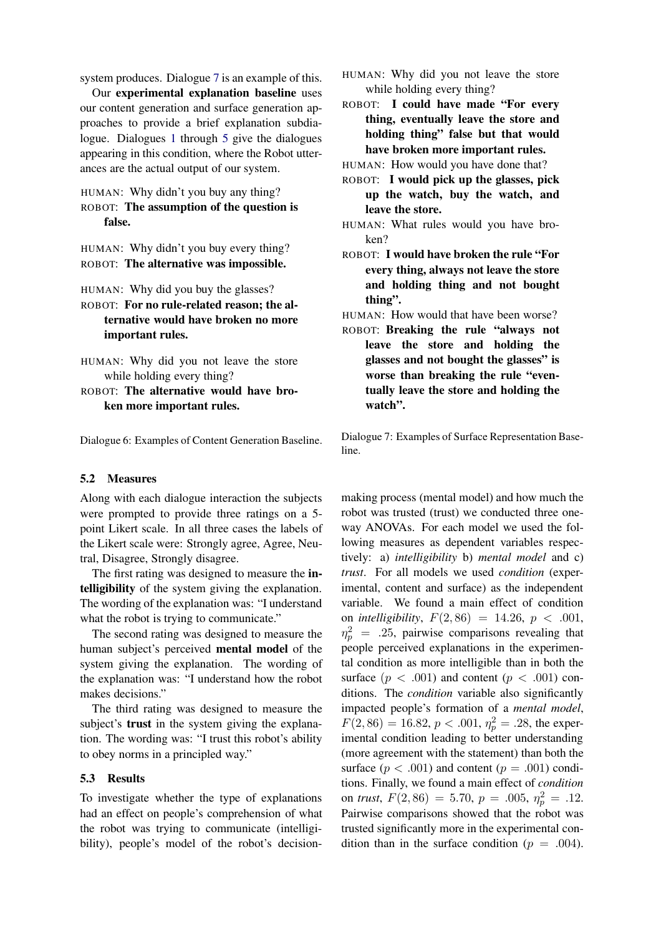system produces. Dialogue [7](#page-7-1) is an example of this.

Our experimental explanation baseline uses our content generation and surface generation approaches to provide a brief explanation subdialogue. Dialogues [1](#page-2-1) through [5](#page-4-1) give the dialogues appearing in this condition, where the Robot utterances are the actual output of our system.

## <span id="page-7-0"></span>HUMAN: Why didn't you buy any thing? ROBOT: The assumption of the question is false.

HUMAN: Why didn't you buy every thing? ROBOT: The alternative was impossible.

- HUMAN: Why did you buy the glasses?
- ROBOT: For no rule-related reason; the alternative would have broken no more important rules.
- HUMAN: Why did you not leave the store while holding every thing?
- ROBOT: The alternative would have broken more important rules.

Dialogue 6: Examples of Content Generation Baseline.

#### 5.2 Measures

Along with each dialogue interaction the subjects were prompted to provide three ratings on a 5 point Likert scale. In all three cases the labels of the Likert scale were: Strongly agree, Agree, Neutral, Disagree, Strongly disagree.

The first rating was designed to measure the intelligibility of the system giving the explanation. The wording of the explanation was: "I understand what the robot is trying to communicate."

The second rating was designed to measure the human subject's perceived mental model of the system giving the explanation. The wording of the explanation was: "I understand how the robot makes decisions."

The third rating was designed to measure the subject's **trust** in the system giving the explanation. The wording was: "I trust this robot's ability to obey norms in a principled way."

#### 5.3 Results

To investigate whether the type of explanations had an effect on people's comprehension of what the robot was trying to communicate (intelligibility), people's model of the robot's decision-

- <span id="page-7-1"></span>HUMAN: Why did you not leave the store while holding every thing?
- ROBOT: I could have made "For every thing, eventually leave the store and holding thing" false but that would have broken more important rules.

HUMAN: How would you have done that?

- ROBOT: I would pick up the glasses, pick up the watch, buy the watch, and leave the store.
- HUMAN: What rules would you have broken?
- ROBOT: I would have broken the rule "For every thing, always not leave the store and holding thing and not bought thing".
- HUMAN: How would that have been worse?
- ROBOT: Breaking the rule "always not leave the store and holding the glasses and not bought the glasses" is worse than breaking the rule "eventually leave the store and holding the watch".

Dialogue 7: Examples of Surface Representation Baseline.

making process (mental model) and how much the robot was trusted (trust) we conducted three oneway ANOVAs. For each model we used the following measures as dependent variables respectively: a) *intelligibility* b) *mental model* and c) *trust*. For all models we used *condition* (experimental, content and surface) as the independent variable. We found a main effect of condition on *intelligibility*,  $F(2, 86) = 14.26$ ,  $p < .001$ ,  $\eta_p^2$  = .25, pairwise comparisons revealing that people perceived explanations in the experimental condition as more intelligible than in both the surface  $(p < .001)$  and content  $(p < .001)$  conditions. The *condition* variable also significantly impacted people's formation of a *mental model*,  $F(2,86) = 16.82, p < .001, \eta_p^2 = .28$ , the experimental condition leading to better understanding (more agreement with the statement) than both the surface  $(p < .001)$  and content  $(p = .001)$  conditions. Finally, we found a main effect of *condition* on *trust*,  $F(2, 86) = 5.70$ ,  $p = .005$ ,  $\eta_p^2 = .12$ . Pairwise comparisons showed that the robot was trusted significantly more in the experimental condition than in the surface condition ( $p = .004$ ).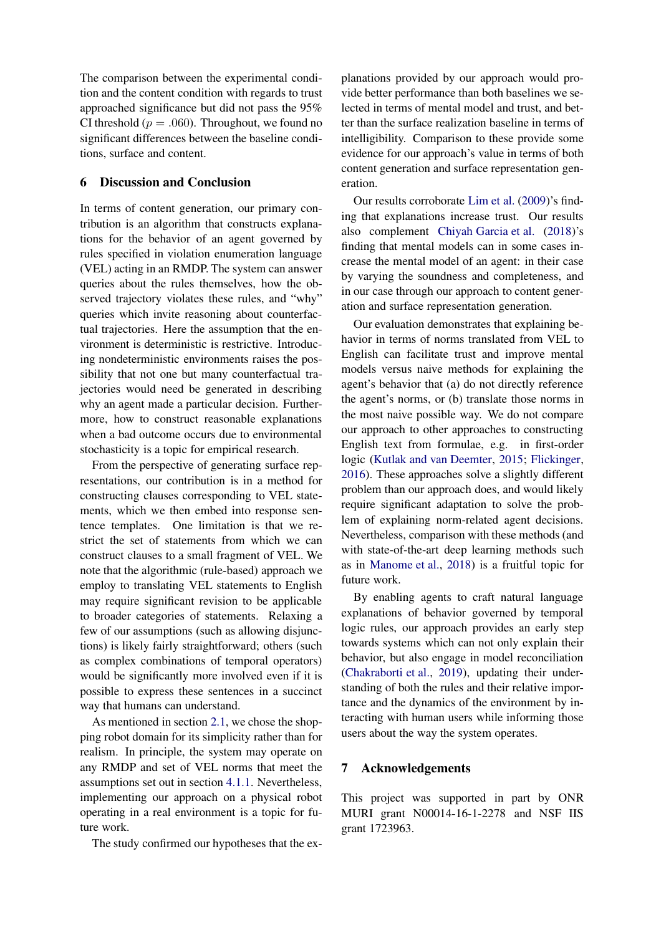The comparison between the experimental condition and the content condition with regards to trust approached significance but did not pass the 95% CI threshold ( $p = .060$ ). Throughout, we found no significant differences between the baseline conditions, surface and content.

#### <span id="page-8-0"></span>6 Discussion and Conclusion

In terms of content generation, our primary contribution is an algorithm that constructs explanations for the behavior of an agent governed by rules specified in violation enumeration language (VEL) acting in an RMDP. The system can answer queries about the rules themselves, how the observed trajectory violates these rules, and "why" queries which invite reasoning about counterfactual trajectories. Here the assumption that the environment is deterministic is restrictive. Introducing nondeterministic environments raises the possibility that not one but many counterfactual trajectories would need be generated in describing why an agent made a particular decision. Furthermore, how to construct reasonable explanations when a bad outcome occurs due to environmental stochasticity is a topic for empirical research.

From the perspective of generating surface representations, our contribution is in a method for constructing clauses corresponding to VEL statements, which we then embed into response sentence templates. One limitation is that we restrict the set of statements from which we can construct clauses to a small fragment of VEL. We note that the algorithmic (rule-based) approach we employ to translating VEL statements to English may require significant revision to be applicable to broader categories of statements. Relaxing a few of our assumptions (such as allowing disjunctions) is likely fairly straightforward; others (such as complex combinations of temporal operators) would be significantly more involved even if it is possible to express these sentences in a succinct way that humans can understand.

As mentioned in section [2.1,](#page-1-0) we chose the shopping robot domain for its simplicity rather than for realism. In principle, the system may operate on any RMDP and set of VEL norms that meet the assumptions set out in section [4.1.1.](#page-4-0) Nevertheless, implementing our approach on a physical robot operating in a real environment is a topic for future work.

The study confirmed our hypotheses that the ex-

planations provided by our approach would provide better performance than both baselines we selected in terms of mental model and trust, and better than the surface realization baseline in terms of intelligibility. Comparison to these provide some evidence for our approach's value in terms of both content generation and surface representation generation.

Our results corroborate [Lim et al.](#page-9-14) [\(2009](#page-9-14))'s finding that explanations increase trust. Our results also complement [Chiyah Garcia et al.](#page-9-5) [\(2018](#page-9-5))'s finding that mental models can in some cases increase the mental model of an agent: in their case by varying the soundness and completeness, and in our case through our approach to content generation and surface representation generation.

Our evaluation demonstrates that explaining behavior in terms of norms translated from VEL to English can facilitate trust and improve mental models versus naive methods for explaining the agent's behavior that (a) do not directly reference the agent's norms, or (b) translate those norms in the most naive possible way. We do not compare our approach to other approaches to constructing English text from formulae, e.g. in first-order logic [\(Kutlak and van Deemter,](#page-9-11) [2015](#page-9-11); [Flickinger](#page-9-15), [2016](#page-9-15)). These approaches solve a slightly different problem than our approach does, and would likely require significant adaptation to solve the problem of explaining norm-related agent decisions. Nevertheless, comparison with these methods (and with state-of-the-art deep learning methods such as in [Manome et al.,](#page-9-9) [2018](#page-9-9)) is a fruitful topic for future work.

By enabling agents to craft natural language explanations of behavior governed by temporal logic rules, our approach provides an early step towards systems which can not only explain their behavior, but also engage in model reconciliation [\(Chakraborti et al.](#page-9-16), [2019](#page-9-16)), updating their understanding of both the rules and their relative importance and the dynamics of the environment by interacting with human users while informing those users about the way the system operates.

## 7 Acknowledgements

This project was supported in part by ONR MURI grant N00014-16-1-2278 and NSF IIS grant 1723963.